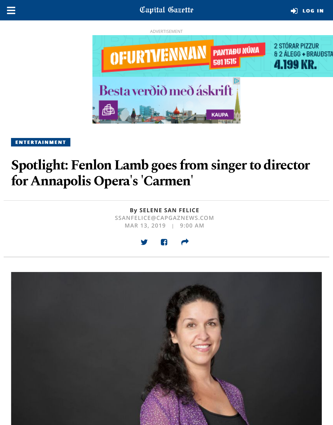



**[ENTERTAINMENT](https://www.capitalgazette.com/entertainment/#nt=taxonomy-article)** 

# **Spotlight: Fenlon Lamb goes from singer to director for Annapolis Opera's 'Carmen'**

**By [SELENE SAN FELICE](https://www.capitalgazette.com/cgnews-selene-san-felice-20170925-staff.html#nt=byline) SSANFELICE@CAPGAZNEWS.COM**

**MAR 13, 2019 | 9:00 AM**



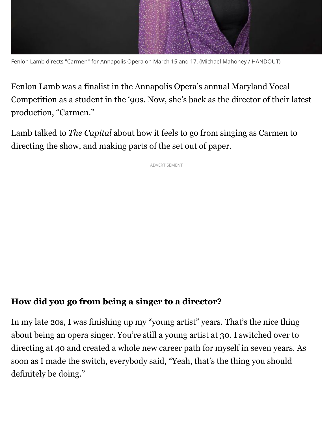

Fenlon Lamb directs "Carmen" for Annapolis Opera on March 15 and 17. (Michael Mahoney / HANDOUT)

Fenlon Lamb was a finalist in the Annapolis Opera's annual Maryland Vocal Competition as a student in the '90s. Now, she's back as the director of their latest production, "Carmen."

Lamb talked to *The Capital* about how it feels to go from singing as Carmen to directing the show, and making parts of the set out of paper.

ADVERTISEMENT

## **How did you go from being a singer to a director?**

In my late 20s, I was finishing up my "young artist" years. That's the nice thing about being an opera singer. You're still a young artist at 30. I switched over to directing at 40 and created a whole new career path for myself in seven years. As soon as I made the switch, everybody said, "Yeah, that's the thing you should definitely be doing."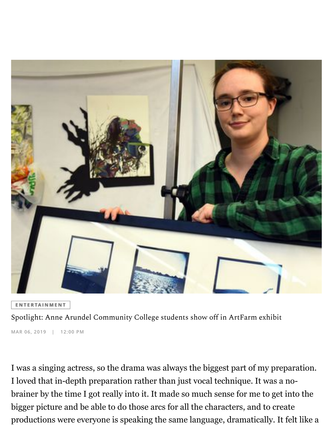

**[ENTERTAINMENT](https://www.capitalgazette.com/entertainment/#nt=taxonomy-article)** 

[Spotlight: Anne Arundel Community College students show off in ArtFarm exhibit](https://www.capitalgazette.com/entertainment/ac-cn-spotlight-aacc-artists-20190308-story.html#nt=standard-embed)

**MAR 06, 2019 | 12:00 PM**

I was a singing actress, so the drama was always the biggest part of my preparation. I loved that in-depth preparation rather than just vocal technique. It was a nobrainer by the time I got really into it. It made so much sense for me to get into the bigger picture and be able to do those arcs for all the characters, and to create productions were everyone is speaking the same language, dramatically. It felt like a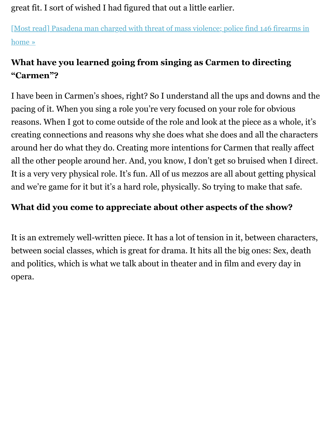great fit. I sort of wished I had figured that out a little earlier.

[\[Most read\] Pasadena man charged with threat of mass violence; police find 146 firearms in](https://www.capitalgazette.com/news/crime/ac-cn-mark-rutkowski-20190904-zpxgq3xvz5e2vizmbvtonyt7ai-story.html#nt=interstitial-auto) home »

## **What have you learned going from singing as Carmen to directing "Carmen"?**

I have been in Carmen's shoes, right? So I understand all the ups and downs and the pacing of it. When you sing a role you're very focused on your role for obvious reasons. When I got to come outside of the role and look at the piece as a whole, it's creating connections and reasons why she does what she does and all the characters around her do what they do. Creating more intentions for Carmen that really affect all the other people around her. And, you know, I don't get so bruised when I direct. It is a very very physical role. It's fun. All of us mezzos are all about getting physical and we're game for it but it's a hard role, physically. So trying to make that safe.

## **What did you come to appreciate about other aspects of the show?**

It is an extremely well-written piece. It has a lot of tension in it, between characters, between social classes, which is great for drama. It hits all the big ones: Sex, death and politics, which is what we talk about in theater and in film and every day in opera.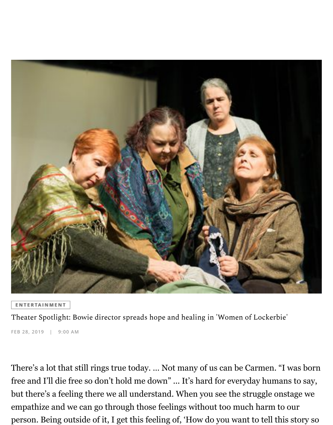

**[ENTERTAINMENT](https://www.capitalgazette.com/entertainment/#nt=taxonomy-article)** 

[Theater Spotlight: Bowie director spreads hope and healing in 'Women of Lockerbie'](https://www.capitalgazette.com/entertainment/ac-en-spotlight-bowie-20190301-story.html#nt=standard-embed)

**FEB 28, 2019 | 9:00 AM**

There's a lot that still rings true today. … Not many of us can be Carmen. "I was born free and I'll die free so don't hold me down" ... It's hard for everyday humans to say, but there's a feeling there we all understand. When you see the struggle onstage we empathize and we can go through those feelings without too much harm to our person. Being outside of it, I get this feeling of, 'How do you want to tell this story so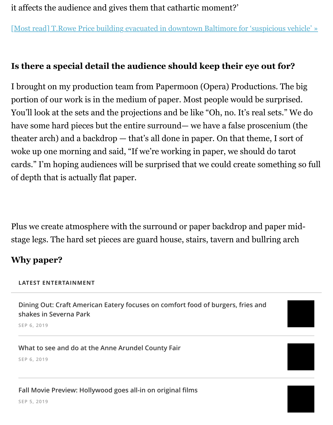it affects the audience and gives them that cathartic moment?'

[\[Most read\] T.Rowe Price building evacuated in downtown Baltimore for 'suspicious vehicle' »](https://www.capitalgazette.com/maryland/bs-md-ci-building-evacuated-20190909-tsjjax7jw5fjtmk35pnajgvh5m-story.html#nt=interstitial-auto)

### **Is there a special detail the audience should keep their eye out for?**

I brought on my production team from Papermoon (Opera) Productions. The big portion of our work is in the medium of paper. Most people would be surprised. You'll look at the sets and the projections and be like "Oh, no. It's real sets." We do have some hard pieces but the entire surround— we have a false proscenium (the theater arch) and a backdrop — that's all done in paper. On that theme, I sort of woke up one morning and said, "If we're working in paper, we should do tarot cards." I'm hoping audiences will be surprised that we could create something so full of depth that is actually flat paper.

Plus we create atmosphere with the surround or paper backdrop and paper midstage legs. The hard set pieces are guard house, stairs, tavern and bullring arch

#### **Why paper?**

#### **LATEST ENTERTAINMENT**

**[Dining Out: Craft American Eatery focuses on comfort food of burgers, fries and](https://www.capitalgazette.com/lifestyles/food-drink/ac-cn-craft-restaurant-severna-park-20190906-lh4n6lyeo5ahtcr66v2xz5nzjy-story.html#nt=related-content) shakes in Severna Park**

**SEP 6, 2019**

#### **[What to see and do at the Anne Arundel County Fair](https://www.capitalgazette.com/entertainment/ac-cn-cover-story-county-fair-20190913-20190906-6czdfxxj2beqzjimirn36nhxdq-story.html#nt=related-content)**

**SEP 6, 2019**

#### **[Fall Movie Preview: Hollywood goes all-in on original](https://www.capitalgazette.com/entertainment/ac-cn-us-film-fall-preview-20190827-20190905-yu3mkj5hu5h4bmvfzwrcsmajkm-story.html#nt=related-content) films**